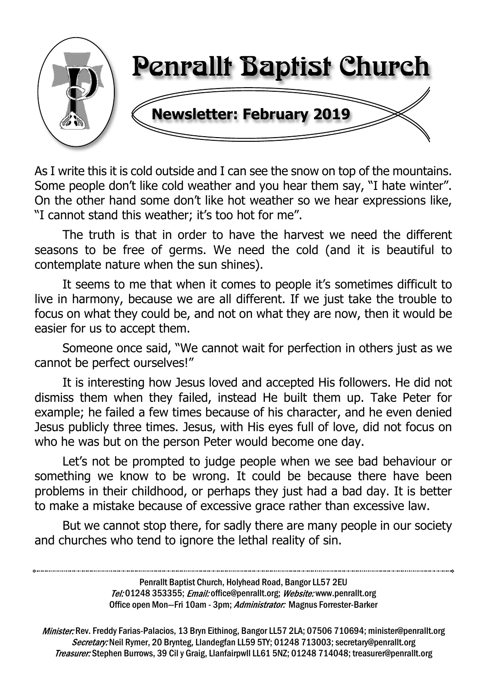

As I write this it is cold outside and I can see the snow on top of the mountains. Some people don't like cold weather and you hear them say, "I hate winter". On the other hand some don't like hot weather so we hear expressions like, "I cannot stand this weather; it's too hot for me".

The truth is that in order to have the harvest we need the different seasons to be free of germs. We need the cold (and it is beautiful to contemplate nature when the sun shines).

It seems to me that when it comes to people it's sometimes difficult to live in harmony, because we are all different. If we just take the trouble to focus on what they could be, and not on what they are now, then it would be easier for us to accept them.

Someone once said, "We cannot wait for perfection in others just as we cannot be perfect ourselves!"

It is interesting how Jesus loved and accepted His followers. He did not dismiss them when they failed, instead He built them up. Take Peter for example; he failed a few times because of his character, and he even denied Jesus publicly three times. Jesus, with His eyes full of love, did not focus on who he was but on the person Peter would become one day.

Let's not be prompted to judge people when we see bad behaviour or something we know to be wrong. It could be because there have been problems in their childhood, or perhaps they just had a bad day. It is better to make a mistake because of excessive grace rather than excessive law.

But we cannot stop there, for sadly there are many people in our society and churches who tend to ignore the lethal reality of sin.

> Penrallt Baptist Church, Holyhead Road, Bangor LL57 2EU Tel:01248 353355; Email: office@penrallt.org; Website: www.penrallt.org Office open Mon-Fri 10am - 3pm; Administrator: Magnus Forrester-Barker

Minister: Rev. Freddy Farias-Palacios, 13 Bryn Eithinog, Bangor LL57 2LA; 07506 710694; minister@penrallt.org Secretary: Neil Rymer, 20 Brynteg, Llandegfan LL59 5TY; 01248 713003; secretary@penrallt.org Treasurer: Stephen Burrows, 39 Cil y Graig, Llanfairpwll LL61 5NZ; 01248 714048; treasurer@penrallt.org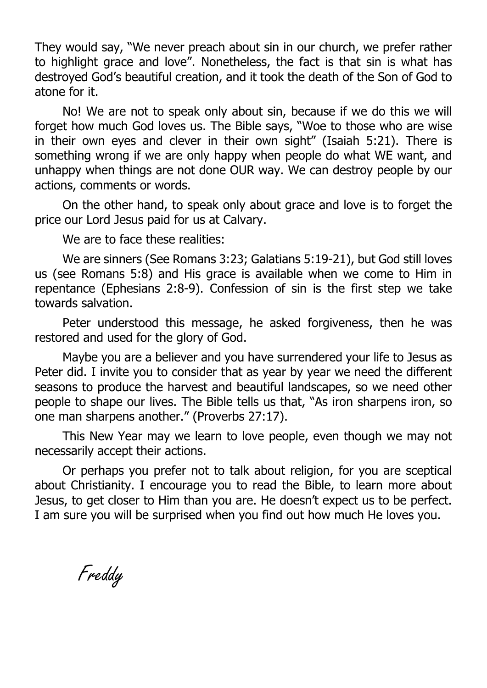They would say, "We never preach about sin in our church, we prefer rather to highlight grace and love". Nonetheless, the fact is that sin is what has destroyed God's beautiful creation, and it took the death of the Son of God to atone for it.

No! We are not to speak only about sin, because if we do this we will forget how much God loves us. The Bible says, "Woe to those who are wise in their own eyes and clever in their own sight" (Isaiah 5:21). There is something wrong if we are only happy when people do what WE want, and unhappy when things are not done OUR way. We can destroy people by our actions, comments or words.

On the other hand, to speak only about grace and love is to forget the price our Lord Jesus paid for us at Calvary.

We are to face these realities:

We are sinners (See Romans 3:23; Galatians 5:19-21), but God still loves us (see Romans 5:8) and His grace is available when we come to Him in repentance (Ephesians 2:8-9). Confession of sin is the first step we take towards salvation.

Peter understood this message, he asked forgiveness, then he was restored and used for the glory of God.

Maybe you are a believer and you have surrendered your life to Jesus as Peter did. I invite you to consider that as year by year we need the different seasons to produce the harvest and beautiful landscapes, so we need other people to shape our lives. The Bible tells us that, "As iron sharpens iron, so one man sharpens another." (Proverbs 27:17).

This New Year may we learn to love people, even though we may not necessarily accept their actions.

Or perhaps you prefer not to talk about religion, for you are sceptical about Christianity. I encourage you to read the Bible, to learn more about Jesus, to get closer to Him than you are. He doesn't expect us to be perfect. I am sure you will be surprised when you find out how much He loves you.

Freddy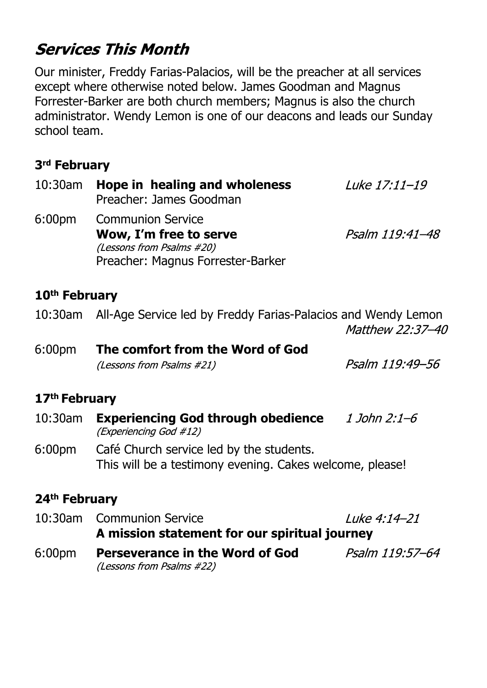# **Services This Month**

Our minister, Freddy Farias-Palacios, will be the preacher at all services except where otherwise noted below. James Goodman and Magnus Forrester-Barker are both church members; Magnus is also the church administrator. Wendy Lemon is one of our deacons and leads our Sunday school team.

#### **3rd February**

| 10:30am                   | Hope in healing and wholeness<br>Preacher: James Goodman                                                             | Luke 17:11-19    |  |  |
|---------------------------|----------------------------------------------------------------------------------------------------------------------|------------------|--|--|
| 6:00 <sub>pm</sub>        | <b>Communion Service</b><br>Wow, I'm free to serve<br>(Lessons from Psalms #20)<br>Preacher: Magnus Forrester-Barker | Psalm 119:41-48  |  |  |
| 10 <sup>th</sup> February |                                                                                                                      |                  |  |  |
| $10:30$ am                | All-Age Service led by Freddy Farias-Palacios and Wendy Lemon                                                        | Matthew 22:37-40 |  |  |
| 6:00 <sub>pm</sub>        | The comfort from the Word of God                                                                                     |                  |  |  |
|                           | (Lessons from Psalms #21)                                                                                            | Psalm 119:49-56  |  |  |
| 17 <sup>th</sup> February |                                                                                                                      |                  |  |  |
| $10:30$ am                | <b>Experiencing God through obedience</b> 1 John 2:1–6<br>(Experiencing God #12)                                     |                  |  |  |
| 6:00 <sub>pm</sub>        | Café Church service led by the students.<br>This will be a testimony evening. Cakes welcome, please!                 |                  |  |  |
| 24 <sup>th</sup> February |                                                                                                                      |                  |  |  |

10:30am Communion Service Luke 4:14-21 **A mission statement for our spiritual journey** 6:00pm **Perseverance in the Word of God**Psalm 119:57-64 (Lessons from Psalms #22)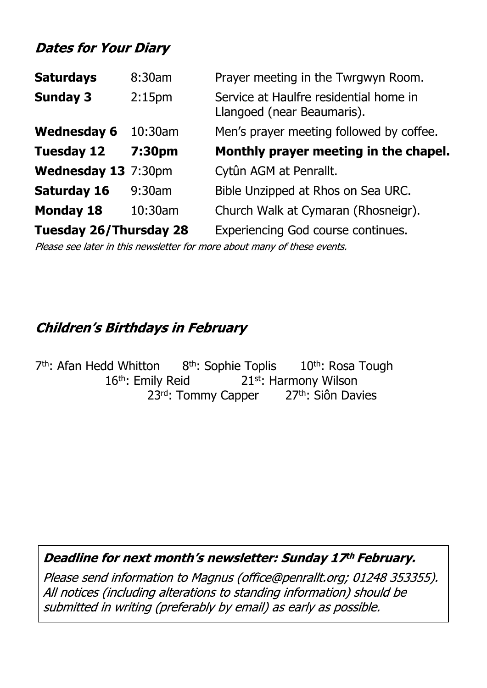# **Dates for Your Diary**

| <b>Saturdays</b>              | 8:30am             | Prayer meeting in the Twrgwyn Room.                                  |
|-------------------------------|--------------------|----------------------------------------------------------------------|
| <b>Sunday 3</b>               | 2:15 <sub>pm</sub> | Service at Haulfre residential home in<br>Llangoed (near Beaumaris). |
| <b>Wednesday 6</b>            | $10:30$ am         | Men's prayer meeting followed by coffee.                             |
| <b>Tuesday 12</b>             | 7:30pm             | Monthly prayer meeting in the chapel.                                |
| Wednesday 13 7:30pm           |                    | Cytûn AGM at Penrallt.                                               |
| <b>Saturday 16</b>            | 9:30am             | Bible Unzipped at Rhos on Sea URC.                                   |
| <b>Monday 18</b>              | 10:30am            | Church Walk at Cymaran (Rhosneigr).                                  |
| <b>Tuesday 26/Thursday 28</b> |                    | <b>Experiencing God course continues.</b>                            |

Please see later in this newsletter for more about many of these events.

#### **Children's Birthdays in February**

7<sup>th</sup>: Afan Hedd Whitton 8<sup>th</sup>: Sophie Toplis 10<sup>th</sup>: Rosa Tough 16<sup>th</sup>: Emily Reid 21st: Harmony Wilson 23<sup>rd</sup>: Tommy Capper 27th: Siôn Davies

#### Deadline for next month's newsletter: Sunday 17th February.

Please send information to Magnus (office@penrallt.org; 01248 353355). All notices (including alterations to standing information) should be submitted in writing (preferably by email) as early as possible.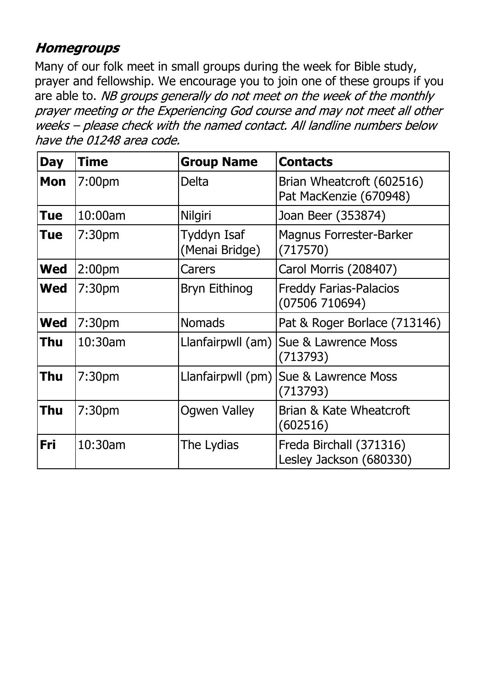### **Homegroups**

Many of our folk meet in small groups during the week for Bible study, prayer and fellowship. We encourage you to join one of these groups if you are able to. NB groups generally do not meet on the week of the monthly prayer meeting or the Experiencing God course and may not meet all other weeks - please check with the named contact. All landline numbers below have the 01248 area code.

| <b>Day</b> | <b>Time</b>        | <b>Group Name</b>             | <b>Contacts</b>                                     |
|------------|--------------------|-------------------------------|-----------------------------------------------------|
| <b>Mon</b> | 7:00 <sub>pm</sub> | Delta                         | Brian Wheatcroft (602516)<br>Pat MacKenzie (670948) |
| <b>Tue</b> | 10:00am            | Nilgiri                       | Joan Beer (353874)                                  |
| Tue        | 7:30 <sub>pm</sub> | Tyddyn Isaf<br>(Menai Bridge) | <b>Magnus Forrester-Barker</b><br>(717570)          |
| <b>Wed</b> | 2:00 <sub>pm</sub> | Carers                        | Carol Morris (208407)                               |
| <b>Wed</b> | 7:30 <sub>pm</sub> | <b>Bryn Eithinog</b>          | <b>Freddy Farias-Palacios</b><br>(07506710694)      |
| <b>Wed</b> | 7:30 <sub>pm</sub> | <b>Nomads</b>                 | Pat & Roger Borlace (713146)                        |
| Thu        | 10:30am            | Llanfairpwll (am)             | Sue & Lawrence Moss<br>(713793)                     |
| Thu        | 7:30 <sub>pm</sub> | Llanfairpwll (pm)             | Sue & Lawrence Moss<br>(713793)                     |
| <b>Thu</b> | 7:30 <sub>pm</sub> | <b>Ogwen Valley</b>           | Brian & Kate Wheatcroft<br>(602516)                 |
| Fri        | 10:30am            | The Lydias                    | Freda Birchall (371316)<br>Lesley Jackson (680330)  |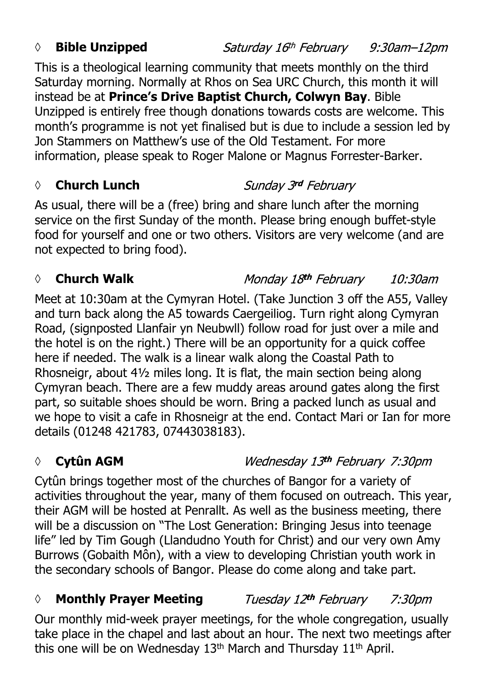#### *◊* **Bible Unzipped**

This is a theological learning community that meets monthly on the third Saturday morning. Normally at Rhos on Sea URC Church, this month it will instead be at **Prince's Drive Baptist Church, Colwyn Bay**. Bible Unzipped is entirely free though donations towards costs are welcome. This month's programme is not yet finalised but is due to include a session led by Jon Stammers on Matthew's use of the Old Testament. For more information, please speak to Roger Malone or Magnus Forrester-Barker.

#### *◊* **Church Lunch**

#### Sunday 3rd February

As usual, there will be a (free) bring and share lunch after the morning service on the first Sunday of the month. Please bring enough buffet-style food for yourself and one or two others. Visitors are very welcome (and are not expected to bring food).

#### *◊* **Church Walk**

Monday 18th February 10:30am

Meet at 10:30am at the Cymyran Hotel. (Take Junction 3 off the A55, Valley and turn back along the A5 towards Caergeiliog. Turn right along Cymyran Road, (signposted Llanfair yn Neubwll) follow road for just over a mile and the hotel is on the right.) There will be an opportunity for a quick coffee here if needed. The walk is a linear walk along the Coastal Path to Rhosneigr, about 4½ miles long. It is flat, the main section being along Cymyran beach. There are a few muddy areas around gates along the first part, so suitable shoes should be worn. Bring a packed lunch as usual and we hope to visit a cafe in Rhosneigr at the end. Contact Mari or Ian for more details (01248 421783, 07443038183).

# *◊* **Cytûn AGM**

Wednesday 13th February 7:30pm

Cytûn brings together most of the churches of Bangor for a variety of activities throughout the year, many of them focused on outreach. This year, their AGM will be hosted at Penrallt. As well as the business meeting, there will be a discussion on "The Lost Generation: Bringing Jesus into teenage life" led by Tim Gough (Llandudno Youth for Christ) and our very own Amy Burrows (Gobaith Môn), with a view to developing Christian youth work in the secondary schools of Bangor. Please do come along and take part.

#### *◊* **Monthly Prayer Meeting** Tuesday 12th February 7:30pm

Our monthly mid-week prayer meetings, for the whole congregation, usually take place in the chapel and last about an hour. The next two meetings after this one will be on Wednesday 13<sup>th</sup> March and Thursday 11<sup>th</sup> April.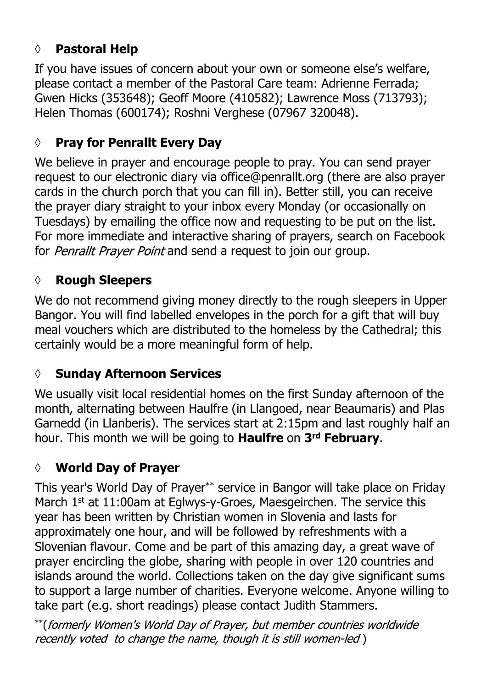# **◊ Pastoral Help**

If you have issues of concern about your own or someone else's welfare, please contact a member of the Pastoral Care team: Adrienne Ferrada; Gwen Hicks (353648); Geoff Moore (410582); Lawrence Moss (713793); Helen Thomas (600174); Roshni Verghese (07967 320048).

# **◊ Pray for Penrallt Every Day**

We believe in prayer and encourage people to pray. You can send prayer request to our electronic diary via office@penrallt.org (there are also prayer cards in the church porch that you can fill in). Better still, you can receive the prayer diary straight to your inbox every Monday (or occasionally on Tuesdays) by emailing the office now and requesting to be put on the list. For more immediate and interactive sharing of prayers, search on Facebook for *Penrallt Prayer Point* and send a request to join our group.

### **◊ Rough Sleepers**

We do not recommend giving money directly to the rough sleepers in Upper Bangor. You will find labelled envelopes in the porch for a gift that will buy meal vouchers which are distributed to the homeless by the Cathedral; this certainly would be a more meaningful form of help.

### **◊ Sunday Afternoon Services**

We usually visit local residential homes on the first Sunday afternoon of the month, alternating between Haulfre (in Llangoed, near Beaumaris) and Plas Garnedd (in Llanberis). The services start at 2:15pm and last roughly half an hour. This month we will be going to **Haulfre** on **3rd February**.

### **◊ World Day of Prayer**

This year's World Day of Prayer\*\* service in Bangor will take place on Friday March 1<sup>st</sup> at 11:00am at Eglwys-y-Groes, Maesgeirchen. The service this year has been written by Christian women in Slovenia and lasts for approximately one hour, and will be followed by refreshments with a Slovenian flavour. Come and be part of this amazing day, a great wave of prayer encircling the globe, sharing with people in over 120 countries and islands around the world. Collections taken on the day give significant sums to support a large number of charities. Everyone welcome. Anyone willing to take part (e.g. short readings) please contact Judith Stammers.

\*\* (formerly Women's World Day of Prayer, but member countries worldwide recently voted to change the name, though it is still women-led)